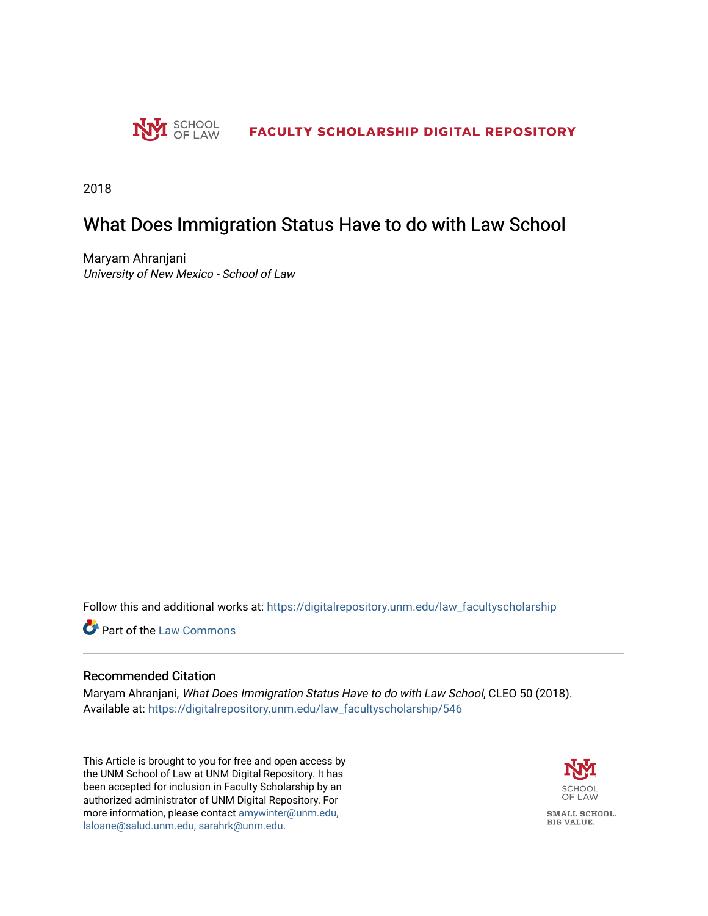

2018

## What Does Immigration Status Have to do with Law School

Maryam Ahranjani University of New Mexico - School of Law

Follow this and additional works at: [https://digitalrepository.unm.edu/law\\_facultyscholarship](https://digitalrepository.unm.edu/law_facultyscholarship?utm_source=digitalrepository.unm.edu%2Flaw_facultyscholarship%2F546&utm_medium=PDF&utm_campaign=PDFCoverPages) 

**C** Part of the [Law Commons](http://network.bepress.com/hgg/discipline/578?utm_source=digitalrepository.unm.edu%2Flaw_facultyscholarship%2F546&utm_medium=PDF&utm_campaign=PDFCoverPages)

## Recommended Citation

Maryam Ahranjani, What Does Immigration Status Have to do with Law School, CLEO 50 (2018). Available at: [https://digitalrepository.unm.edu/law\\_facultyscholarship/546](https://digitalrepository.unm.edu/law_facultyscholarship/546?utm_source=digitalrepository.unm.edu%2Flaw_facultyscholarship%2F546&utm_medium=PDF&utm_campaign=PDFCoverPages) 

This Article is brought to you for free and open access by the UNM School of Law at UNM Digital Repository. It has been accepted for inclusion in Faculty Scholarship by an authorized administrator of UNM Digital Repository. For more information, please contact [amywinter@unm.edu,](mailto:amywinter@unm.edu,%20lsloane@salud.unm.edu,%20sarahrk@unm.edu)  [lsloane@salud.unm.edu, sarahrk@unm.edu.](mailto:amywinter@unm.edu,%20lsloane@salud.unm.edu,%20sarahrk@unm.edu)

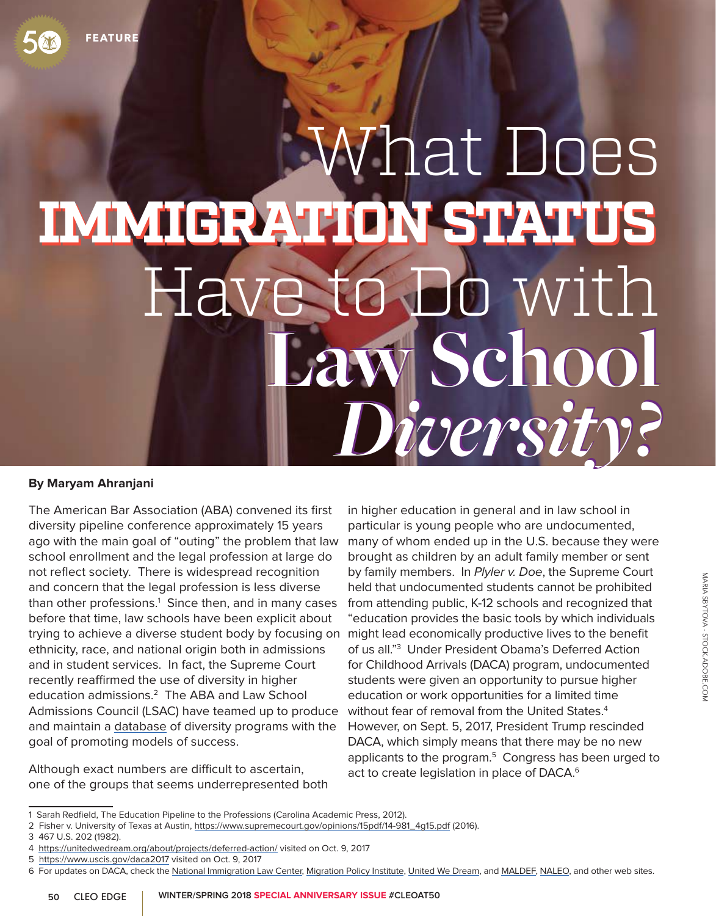## **Law School Law School** *Diversity? Diversity?* What Does **IMMIGRATION STATUS IMMIGRATION STATUS**  Have to Do with

## **By Maryam Ahranjani**

The American Bar Association (ABA) convened its first diversity pipeline conference approximately 15 years ago with the main goal of "outing" the problem that law school enrollment and the legal profession at large do not reflect society. There is widespread recognition and concern that the legal profession is less diverse than other professions.<sup>1</sup> Since then, and in many cases before that time, law schools have been explicit about trying to achieve a diverse student body by focusing on might lead economically productive lives to the benefit ethnicity, race, and national origin both in admissions and in student services. In fact, the Supreme Court recently reaffirmed the use of diversity in higher education admissions.2 The ABA and Law School Admissions Council (LSAC) have teamed up to produce and maintain a database of diversity programs with the goal of promoting models of success.

Although exact numbers are difficult to ascertain, one of the groups that seems underrepresented both

in higher education in general and in law school in particular is young people who are undocumented, many of whom ended up in the U.S. because they were brought as children by an adult family member or sent by family members. In Plyler v. Doe, the Supreme Court held that undocumented students cannot be prohibited from attending public, K-12 schools and recognized that "education provides the basic tools by which individuals of us all."3 Under President Obama's Deferred Action for Childhood Arrivals (DACA) program, undocumented students were given an opportunity to pursue higher education or work opportunities for a limited time without fear of removal from the United States.4 However, on Sept. 5, 2017, President Trump rescinded DACA, which simply means that there may be no new applicants to the program.<sup>5</sup> Congress has been urged to act to create legislation in place of DACA.<sup>6</sup>

<sup>1</sup> Sarah Redfield, The Education Pipeline to the Professions (Carolina Academic Press, 2012).

<sup>2</sup> Fisher v. University of Texas at Austin, https://www.supremecourt.gov/opinions/15pdf/14-981\_4g15.pdf (2016).

<sup>3 467</sup> U.S. 202 (1982).

<sup>4</sup> https://unitedwedream.org/about/projects/deferred-action/ visited on Oct. 9, 2017

<sup>5</sup> https://www.uscis.gov/daca2017 visited on Oct. 9, 2017

<sup>6</sup> For updates on DACA, check the National Immigration Law Center, Migration Policy Institute, United We Dream, and MALDEF, NALEO, and other web sites.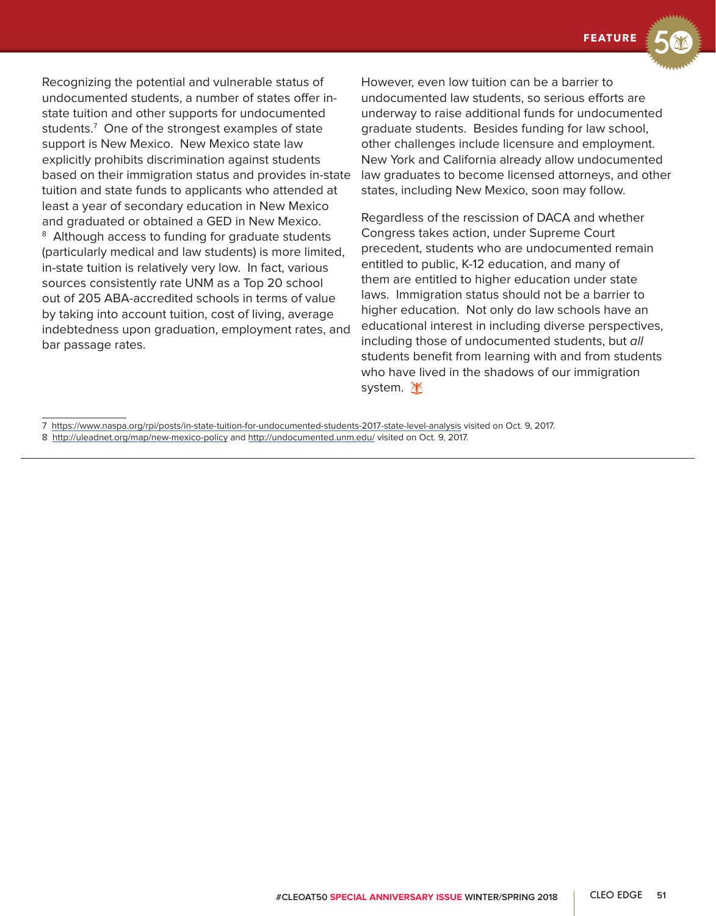**FEATURE**

Recognizing the potential and vulnerable status of undocumented students, a number of states offer instate tuition and other supports for undocumented students.7 One of the strongest examples of state support is New Mexico. New Mexico state law explicitly prohibits discrimination against students based on their immigration status and provides in-state tuition and state funds to applicants who attended at least a year of secondary education in New Mexico and graduated or obtained a GED in New Mexico. <sup>8</sup> Although access to funding for graduate students (particularly medical and law students) is more limited, in-state tuition is relatively very low. In fact, various sources consistently rate UNM as a Top 20 school out of 205 ABA-accredited schools in terms of value by taking into account tuition, cost of living, average indebtedness upon graduation, employment rates, and bar passage rates.

However, even low tuition can be a barrier to undocumented law students, so serious efforts are underway to raise additional funds for undocumented graduate students. Besides funding for law school, other challenges include licensure and employment. New York and California already allow undocumented law graduates to become licensed attorneys, and other states, including New Mexico, soon may follow.

Regardless of the rescission of DACA and whether Congress takes action, under Supreme Court precedent, students who are undocumented remain entitled to public, K-12 education, and many of them are entitled to higher education under state laws. Immigration status should not be a barrier to higher education. Not only do law schools have an educational interest in including diverse perspectives, including those of undocumented students, but all students benefit from learning with and from students who have lived in the shadows of our immigration system. M

7 https://www.naspa.org/rpi/posts/in-state-tuition-for-undocumented-students-2017-state-level-analysis visited on Oct. 9, 2017. 8 http://uleadnet.org/map/new-mexico-policy and http://undocumented.unm.edu/ visited on Oct. 9, 2017.